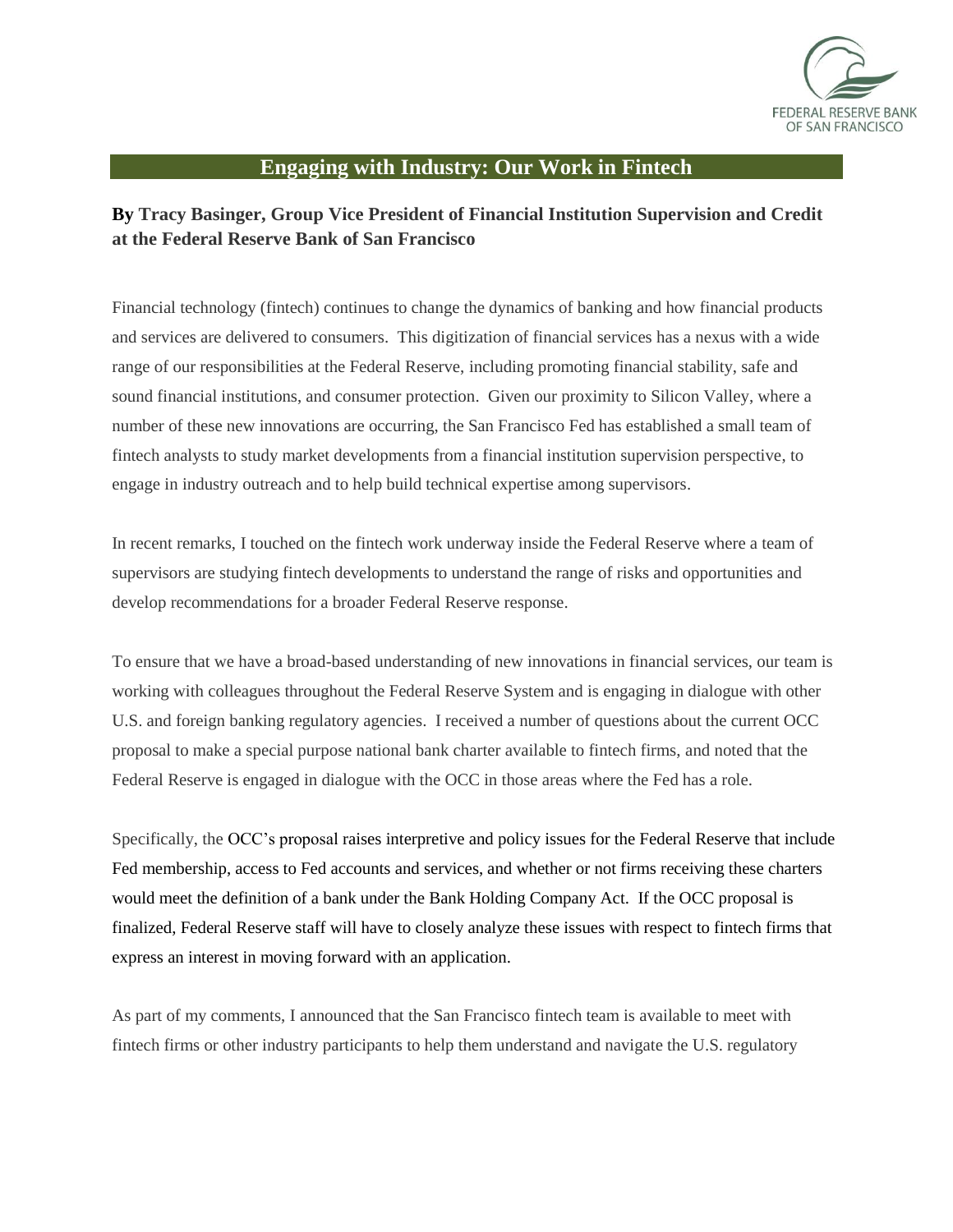

## **Engaging with Industry: Our Work in Fintech**

## **By Tracy Basinger, Group Vice President of Financial Institution Supervision and Credit at the Federal Reserve Bank of San Francisco**

Financial technology (fintech) continues to change the dynamics of banking and how financial products and services are delivered to consumers. This digitization of financial services has a nexus with a wide range of our responsibilities at the Federal Reserve, including promoting financial stability, safe and sound financial institutions, and consumer protection. Given our proximity to Silicon Valley, where a number of these new innovations are occurring, the San Francisco Fed has established a small team of fintech analysts to study market developments from a financial institution supervision perspective, to engage in industry outreach and to help build technical expertise among supervisors.

In recent remarks, I touched on the fintech work underway inside the Federal Reserve where a team of supervisors are studying fintech developments to understand the range of risks and opportunities and develop recommendations for a broader Federal Reserve response.

To ensure that we have a broad-based understanding of new innovations in financial services, our team is working with colleagues throughout the Federal Reserve System and is engaging in dialogue with other U.S. and foreign banking regulatory agencies. I received a number of questions about the current OCC proposal to make a special purpose national bank charter available to fintech firms, and noted that the Federal Reserve is engaged in dialogue with the OCC in those areas where the Fed has a role.

Specifically, the OCC's proposal raises interpretive and policy issues for the Federal Reserve that include Fed membership, access to Fed accounts and services, and whether or not firms receiving these charters would meet the definition of a bank under the Bank Holding Company Act. If the OCC proposal is finalized, Federal Reserve staff will have to closely analyze these issues with respect to fintech firms that express an interest in moving forward with an application.

As part of my comments, I announced that the San Francisco fintech team is available to meet with fintech firms or other industry participants to help them understand and navigate the U.S. regulatory